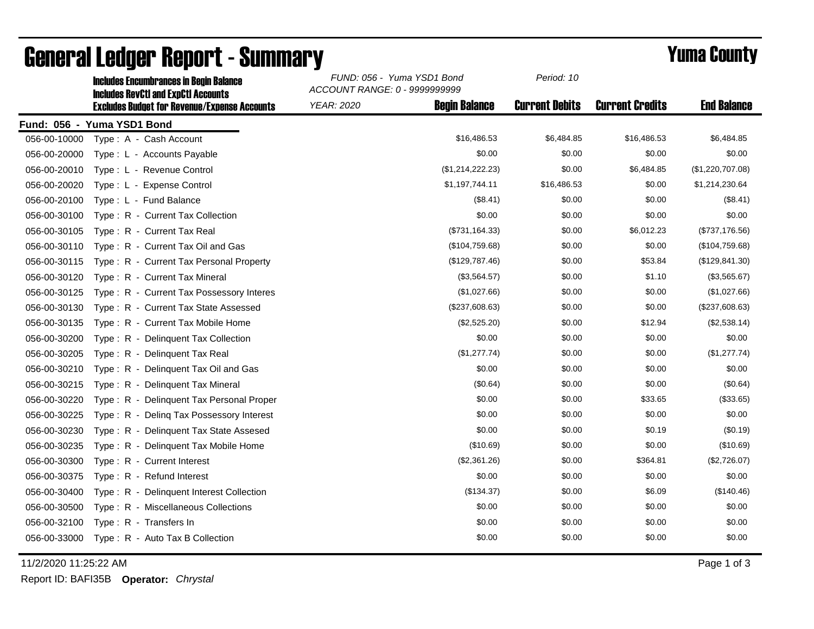|              | <b>Includes RevCtI and ExpCtI Accounts</b>          | ACCOUNT RANGE: 0 - 9999999999             |                       |                        |                    |  |  |
|--------------|-----------------------------------------------------|-------------------------------------------|-----------------------|------------------------|--------------------|--|--|
|              | <b>Excludes Budget for Revenue/Expense Accounts</b> | <b>Begin Balance</b><br><b>YEAR: 2020</b> | <b>Current Debits</b> | <b>Current Credits</b> | <b>End Balance</b> |  |  |
|              | Fund: 056 - Yuma YSD1 Bond                          |                                           |                       |                        |                    |  |  |
| 056-00-10000 | Type: A - Cash Account                              | \$16,486.53                               | \$6,484.85            | \$16,486.53            | \$6,484.85         |  |  |
| 056-00-20000 | Type: L - Accounts Payable                          | \$0.00                                    | \$0.00                | \$0.00                 | \$0.00             |  |  |
| 056-00-20010 | Type: L - Revenue Control                           | (\$1,214,222.23)                          | \$0.00                | \$6,484.85             | (\$1,220,707.08)   |  |  |
| 056-00-20020 | Type: L - Expense Control                           | \$1,197,744.11                            | \$16,486.53           | \$0.00                 | \$1,214,230.64     |  |  |
| 056-00-20100 | Type: L - Fund Balance                              | (\$8.41)                                  | \$0.00                | \$0.00                 | (\$8.41)           |  |  |
| 056-00-30100 | Type: R - Current Tax Collection                    | \$0.00                                    | \$0.00                | \$0.00                 | \$0.00             |  |  |
| 056-00-30105 | Type: R - Current Tax Real                          | (\$731, 164.33)                           | \$0.00                | \$6,012.23             | (\$737,176.56)     |  |  |
| 056-00-30110 | Type: R - Current Tax Oil and Gas                   | (\$104,759.68)                            | \$0.00                | \$0.00                 | (\$104,759.68)     |  |  |
| 056-00-30115 | Type: R - Current Tax Personal Property             | (\$129,787.46)                            | \$0.00                | \$53.84                | (\$129, 841.30)    |  |  |
| 056-00-30120 | Type: R - Current Tax Mineral                       | (\$3,564.57)                              | \$0.00                | \$1.10                 | (\$3,565.67)       |  |  |
| 056-00-30125 | Type: R - Current Tax Possessory Interes            | (\$1,027.66)                              | \$0.00                | \$0.00                 | (\$1,027.66)       |  |  |
| 056-00-30130 | Type: R - Current Tax State Assessed                | (\$237,608.63)                            | \$0.00                | \$0.00                 | (\$237,608.63)     |  |  |
| 056-00-30135 | Type: R - Current Tax Mobile Home                   | (\$2,525.20)                              | \$0.00                | \$12.94                | (\$2,538.14)       |  |  |
| 056-00-30200 | Type: R - Delinquent Tax Collection                 | \$0.00                                    | \$0.00                | \$0.00                 | \$0.00             |  |  |
| 056-00-30205 | Type: R - Delinquent Tax Real                       | (\$1,277.74)                              | \$0.00                | \$0.00                 | (\$1,277.74)       |  |  |
| 056-00-30210 | Type: R - Delinquent Tax Oil and Gas                | \$0.00                                    | \$0.00                | \$0.00                 | \$0.00             |  |  |
| 056-00-30215 | Type: R - Delinquent Tax Mineral                    | (\$0.64)                                  | \$0.00                | \$0.00                 | (\$0.64)           |  |  |
| 056-00-30220 | Type: R - Delinquent Tax Personal Proper            | \$0.00                                    | \$0.00                | \$33.65                | (\$33.65)          |  |  |
| 056-00-30225 | Type: R - Deling Tax Possessory Interest            | \$0.00                                    | \$0.00                | \$0.00                 | \$0.00             |  |  |
| 056-00-30230 | Type: R - Delinquent Tax State Assesed              | \$0.00                                    | \$0.00                | \$0.19                 | (\$0.19)           |  |  |
| 056-00-30235 | Type: R - Delinquent Tax Mobile Home                | (\$10.69)                                 | \$0.00                | \$0.00                 | (\$10.69)          |  |  |
| 056-00-30300 | Type: R - Current Interest                          | (\$2,361.26)                              | \$0.00                | \$364.81               | (\$2,726.07)       |  |  |
| 056-00-30375 | Type: R - Refund Interest                           | \$0.00                                    | \$0.00                | \$0.00                 | \$0.00             |  |  |
| 056-00-30400 | Type: R - Delinquent Interest Collection            | (\$134.37)                                | \$0.00                | \$6.09                 | (\$140.46)         |  |  |
| 056-00-30500 | Type: R - Miscellaneous Collections                 | \$0.00                                    | \$0.00                | \$0.00                 | \$0.00             |  |  |
| 056-00-32100 | Type: R - Transfers In                              | \$0.00                                    | \$0.00                | \$0.00                 | \$0.00             |  |  |
| 056-00-33000 | Type: R - Auto Tax B Collection                     | \$0.00                                    | \$0.00                | \$0.00                 | \$0.00             |  |  |
|              |                                                     |                                           |                       |                        |                    |  |  |

## General Ledger Report - Summary **Example 2018** Yuma County

Includes Encumbrances in Begin Balance *FUND: 056 - Yuma YSD1 Bond*

11/2/2020 11:25:22 AM Page 1 of 3

Report ID: BAFI35B **Operator:** *Chrystal*

*Period: 10*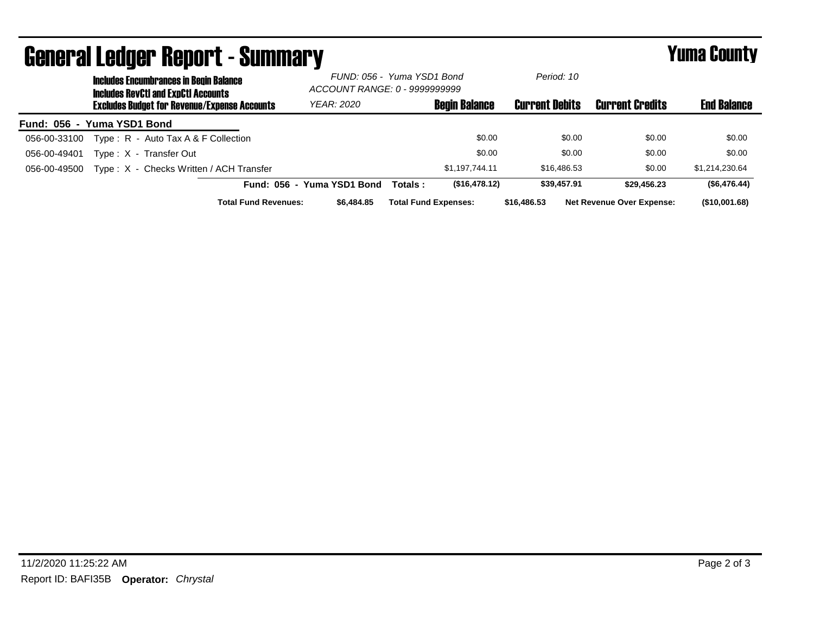| <b>General Ledger Report - Summary</b> |                                                                                             |                                                     |                             |                                                             |         | Yuma County                 |                       |                                  |                    |
|----------------------------------------|---------------------------------------------------------------------------------------------|-----------------------------------------------------|-----------------------------|-------------------------------------------------------------|---------|-----------------------------|-----------------------|----------------------------------|--------------------|
|                                        | <b>Includes Encumbrances in Begin Balance</b><br><b>Includes RevCtI and ExpCtI Accounts</b> |                                                     |                             | FUND: 056 - Yuma YSD1 Bond<br>ACCOUNT RANGE: 0 - 9999999999 |         | Period: 10                  |                       |                                  |                    |
|                                        |                                                                                             | <b>Excludes Budget for Revenue/Expense Accounts</b> |                             | <b>YEAR: 2020</b>                                           |         | <b>Begin Balance</b>        | <b>Current Debits</b> | <b>Current Credits</b>           | <b>End Balance</b> |
| Fund: 056 - Yuma YSD1 Bond             |                                                                                             |                                                     |                             |                                                             |         |                             |                       |                                  |                    |
| 056-00-33100                           |                                                                                             | Type: $R -$ Auto Tax A & F Collection               |                             |                                                             |         | \$0.00                      | \$0.00                | \$0.00                           | \$0.00             |
| 056-00-49401                           |                                                                                             | Type: X - Transfer Out                              |                             |                                                             |         | \$0.00                      | \$0.00                | \$0.00                           | \$0.00             |
| 056-00-49500                           |                                                                                             | Type: X - Checks Written / ACH Transfer             |                             |                                                             |         | \$1,197,744.11              | \$16,486.53           | \$0.00                           | \$1,214,230.64     |
|                                        |                                                                                             |                                                     |                             | Fund: 056 - Yuma YSD1 Bond                                  | Totals: | (\$16,478.12)               | \$39,457.91           | \$29,456.23                      | (\$6,476.44)       |
|                                        |                                                                                             |                                                     | <b>Total Fund Revenues:</b> | \$6,484.85                                                  |         | <b>Total Fund Expenses:</b> | \$16,486,53           | <b>Net Revenue Over Expense:</b> | (\$10,001.68)      |

## 11/2/2020 11:25:22 AM Page 2 of 3 Report ID: BAFI35B **Operator:** *Chrystal*